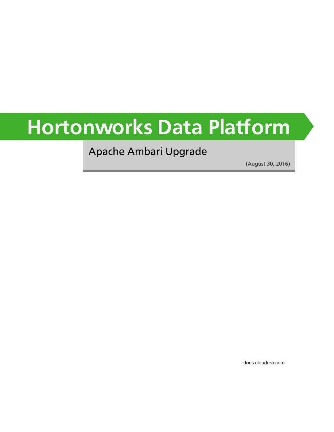# **Hortonworks Data Platform**

Apache Ambari Upgrade

(August 30, 2016)

[docs.cloudera.com](http://docs.cloudera.com)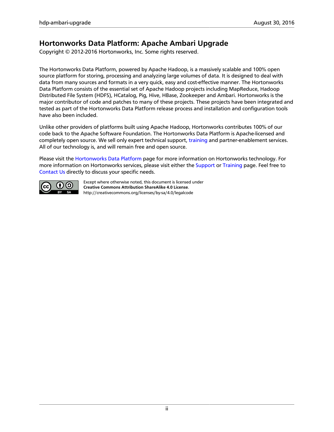# **Hortonworks Data Platform: Apache Ambari Upgrade**

Copyright © 2012-2016 Hortonworks, Inc. Some rights reserved.

The Hortonworks Data Platform, powered by Apache Hadoop, is a massively scalable and 100% open source platform for storing, processing and analyzing large volumes of data. It is designed to deal with data from many sources and formats in a very quick, easy and cost-effective manner. The Hortonworks Data Platform consists of the essential set of Apache Hadoop projects including MapReduce, Hadoop Distributed File System (HDFS), HCatalog, Pig, Hive, HBase, Zookeeper and Ambari. Hortonworks is the major contributor of code and patches to many of these projects. These projects have been integrated and tested as part of the Hortonworks Data Platform release process and installation and configuration tools have also been included.

Unlike other providers of platforms built using Apache Hadoop, Hortonworks contributes 100% of our code back to the Apache Software Foundation. The Hortonworks Data Platform is Apache-licensed and completely open source. We sell only expert technical support, [training](http://hortonworks.com/training/) and partner-enablement services. All of our technology is, and will remain free and open source.

Please visit the [Hortonworks Data Platform](http://hortonworks.com/products/hdp/) page for more information on Hortonworks technology. For more information on Hortonworks services, please visit either the [Support](http://hortonworks.com/hadoop-support/) or [Training](http://hortonworks.com/training/) page. Feel free to [Contact Us](http://hortonworks.com/about-us/contact-us/) directly to discuss your specific needs.



Except where otherwise noted, this document is licensed under **[Creative Commons Attribution ShareAlike 4.0 License](http://creativecommons.org/licenses/by-sa/4.0/legalcode)**. <http://creativecommons.org/licenses/by-sa/4.0/legalcode>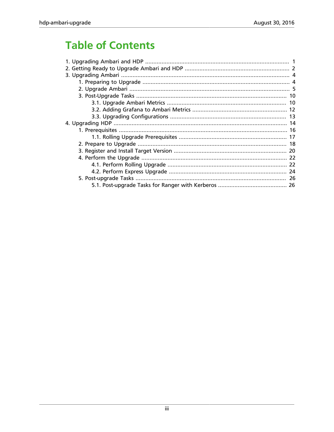# **Table of Contents**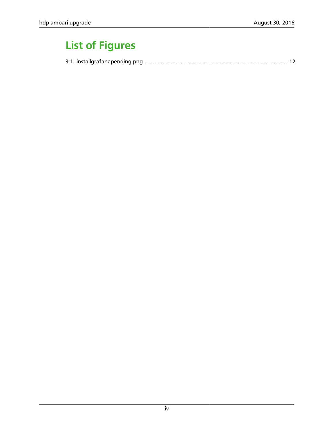# **List of Figures**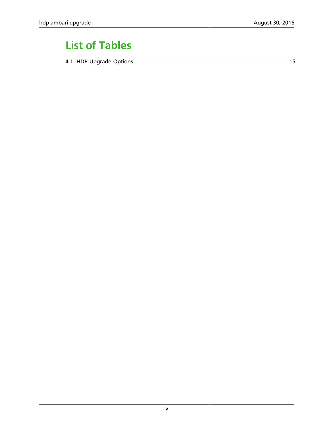# **List of Tables**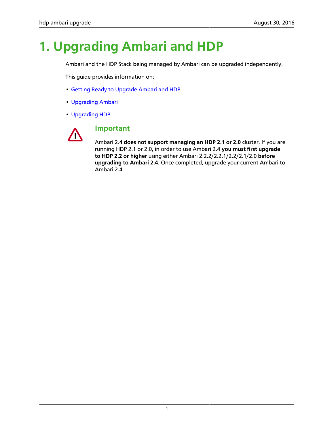# <span id="page-5-0"></span>**1. Upgrading Ambari and HDP**

Ambari and the HDP Stack being managed by Ambari can be upgraded independently.

This guide provides information on:

- [Getting Ready to Upgrade Ambari and HDP](preparing_to_upgrade_ambari_and_hdp.html)
- [Upgrading Ambari](upgrading_ambari.html)
- [Upgrading HDP](upgrading_hdp_stack.html)



### **Important**

Ambari 2.4 **does not support managing an HDP 2.1 or 2.0** cluster. If you are running HDP 2.1 or 2.0, in order to use Ambari 2.4 **you must first upgrade to HDP 2.2 or higher** using either Ambari 2.2.2/2.2.1/2.2/2.1/2.0 **before upgrading to Ambari 2.4**. Once completed, upgrade your current Ambari to Ambari 2.4.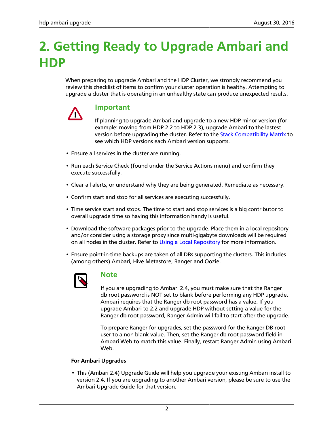# <span id="page-6-0"></span>**2. Getting Ready to Upgrade Ambari and HDP**

When preparing to upgrade Ambari and the HDP Cluster, we strongly recommend you review this checklist of items to confirm your cluster operation is healthy. Attempting to upgrade a cluster that is operating in an unhealthy state can produce unexpected results.



## **Important**

If planning to upgrade Ambari and upgrade to a new HDP minor version (for example: moving from HDP 2.2 to HDP 2.3), upgrade Ambari to the lastest version before upgrading the cluster. Refer to the [Stack Compatibility Matrix](http://docs.hortonworks.com/HDPDocuments/Ambari-2.4.0.1/bk_ambari-installation/content/determine_stack_compatibility.html) to see which HDP versions each Ambari version supports.

- Ensure all services in the cluster are running.
- Run each Service Check (found under the Service Actions menu) and confirm they execute successfully.
- Clear all alerts, or understand why they are being generated. Remediate as necessary.
- Confirm start and stop for all services are executing successfully.
- Time service start and stops. The time to start and stop services is a big contributor to overall upgrade time so having this information handy is useful.
- Download the software packages prior to the upgrade. Place them in a local repository and/or consider using a storage proxy since multi-gigabyte downloads will be required on all nodes in the cluster. Refer to [Using a Local Repository](http://docs.hortonworks.com/HDPDocuments/Ambari-2.4.0.1/bk_ambari-installation/content/using_a_local_repository.html) for more information.
- Ensure point-in-time backups are taken of all DBs supporting the clusters. This includes (among others) Ambari, Hive Metastore, Ranger and Oozie.



### **Note**

If you are upgrading to Ambari 2.4, you must make sure that the Ranger db root password is NOT set to blank before performing any HDP upgrade. Ambari requires that the Ranger db root password has a value. If you upgrade Ambari to 2.2 and upgrade HDP without setting a value for the Ranger db root password, Ranger Admin will fail to start after the upgrade.

To prepare Ranger for upgrades, set the password for the Ranger DB root user to a non-blank value. Then, set the Ranger db root password field in Ambari Web to match this value. Finally, restart Ranger Admin using Ambari Web.

#### **For Ambari Upgrades**

• This (Ambari 2.4) Upgrade Guide will help you upgrade your existing Ambari install to version 2.4. If you are upgrading to another Ambari version, please be sure to use the Ambari Upgrade Guide for that version.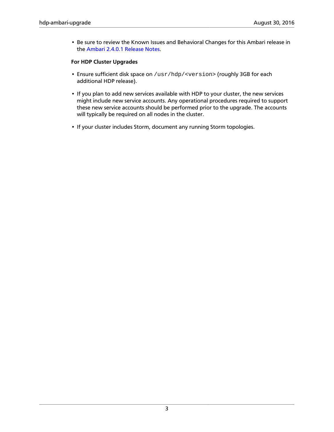• Be sure to review the Known Issues and Behavioral Changes for this Ambari release in the [Ambari 2.4.0.1 Release Notes.](http://docs.hortonworks.com/HDPDocuments/Ambari-2.4.0.1/bk_ambari-release-notes/content/ch_relnotes-ambari-2.4.0.1.html)

#### **For HDP Cluster Upgrades**

- Ensure sufficient disk space on /usr/hdp/<version> (roughly 3GB for each additional HDP release).
- If you plan to add new services available with HDP to your cluster, the new services might include new service accounts. Any operational procedures required to support these new service accounts should be performed prior to the upgrade. The accounts will typically be required on all nodes in the cluster.
- If your cluster includes Storm, document any running Storm topologies.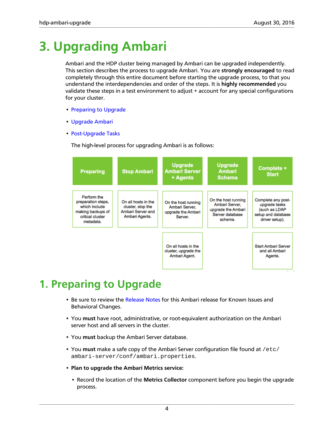# <span id="page-8-0"></span>**3. Upgrading Ambari**

Ambari and the HDP cluster being managed by Ambari can be upgraded independently. This section describes the process to upgrade Ambari. You are **strongly encouraged** to read completely through this entire document before starting the upgrade process, to that you understand the interdependencies and order of the steps. It is **highly recommended** you validate these steps in a test environment to adjust + account for any special configurations for your cluster.

- [Preparing to Upgrade](preparing_to_upgrade_ambari.html)
- [Upgrade Ambari](upgrade_ambari.html)
- [Post-Upgrade Tasks](post_ambari_upgrade_tasks.html)

The high-level process for upgrading Ambari is as follows:



# <span id="page-8-1"></span>**1. Preparing to Upgrade**

- Be sure to review the [Release Notes](http://docs.hortonworks.com/HDPDocuments/Ambari-2.4.0.1/bk_ambari-release-notes/content/ch_relnotes-ambari-2.4.0.1.html) for this Ambari release for Known Issues and Behavioral Changes.
- You **must** have root, administrative, or root-equivalent authorization on the Ambari server host and all servers in the cluster.
- You **must** backup the Ambari Server database.
- You **must** make a safe copy of the Ambari Server configuration file found at /etc/ ambari-server/conf/ambari.properties.
- **Plan to upgrade the Ambari Metrics service:**
	- Record the location of the **Metrics Collector** component before you begin the upgrade process.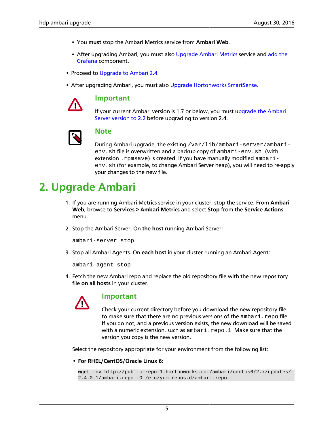- You **must** stop the Ambari Metrics service from **Ambari Web**.
- After upgrading Ambari, you must also [Upgrade Ambari Metrics](upgrade_ambari_metrics.html) service and [add the](adding_grafana_to_ambari_metrics.html) [Grafana](adding_grafana_to_ambari_metrics.html) component.
- Proceed to [Upgrade to Ambari 2.4.](upgrade_ambari.html)
- After upgrading Ambari, you must also [Upgrade Hortonworks SmartSense](http://docs.hortonworks.com/HDPDocuments/SS1/SmartSense-1.3.0/bk_installation/content/upgrade_scenarios.html).



#### **Important**

If your current Ambari version is 1.7 or below, you must [upgrade the Ambari](http://docs.hortonworks.com/HDPDocuments/Ambari-2.2.2.18/bk_ambari-upgrade/content/_preparing_to_upgrade_ambari.html) [Server version to 2.2](http://docs.hortonworks.com/HDPDocuments/Ambari-2.2.2.18/bk_ambari-upgrade/content/_preparing_to_upgrade_ambari.html) before upgrading to version 2.4.



### **Note**

During Ambari upgrade, the existing /var/lib/ambari-server/ambarienv.sh file is overwritten and a backup copy of ambari-env.sh (with extension . rpmsave) is created. If you have manually modified ambarienv.sh (for example, to change Ambari Server heap), you will need to re-apply your changes to the new file.

# <span id="page-9-0"></span>**2. Upgrade Ambari**

- 1. If you are running Ambari Metrics service in your cluster, stop the service. From **Ambari Web**, browse to **Services > Ambari Metrics** and select **Stop** from the **Service Actions** menu.
- 2. Stop the Ambari Server. On **the host** running Ambari Server:

ambari-server stop

3. Stop all Ambari Agents. On **each host** in your cluster running an Ambari Agent:

ambari-agent stop

4. Fetch the new Ambari repo and replace the old repository file with the new repository file **on all hosts** in your cluster.



#### **Important**

Check your current directory before you download the new repository file to make sure that there are no previous versions of the ambari.repo file. If you do not, and a previous version exists, the new download will be saved with a numeric extension, such as ambari.repo.1. Make sure that the version you copy is the new version.

Select the repository appropriate for your environment from the following list:

• **For RHEL/CentOS/Oracle Linux 6:**

```
wget -nv http://public-repo-1.hortonworks.com/ambari/centos6/2.x/updates/
2.4.0.1/ambari.repo -O /etc/yum.repos.d/ambari.repo
```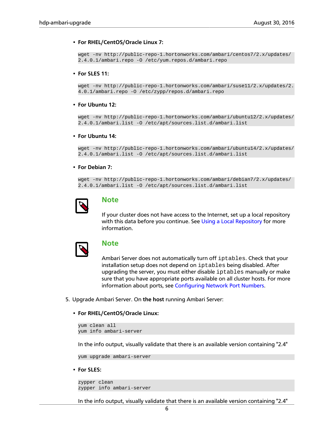#### • **For RHEL/CentOS/Oracle Linux 7:**

```
wget -nv http://public-repo-1.hortonworks.com/ambari/centos7/2.x/updates/
2.4.0.1/ambari.repo -O /etc/yum.repos.d/ambari.repo
```
#### • **For SLES 11:**

wget -nv http://public-repo-1.hortonworks.com/ambari/suse11/2.x/updates/2. 4.0.1/ambari.repo -O /etc/zypp/repos.d/ambari.repo

#### • **For Ubuntu 12:**

```
wget -nv http://public-repo-1.hortonworks.com/ambari/ubuntu12/2.x/updates/
2.4.0.1/ambari.list -O /etc/apt/sources.list.d/ambari.list
```
#### • **For Ubuntu 14:**

wget -nv http://public-repo-1.hortonworks.com/ambari/ubuntu14/2.x/updates/ 2.4.0.1/ambari.list -O /etc/apt/sources.list.d/ambari.list

#### • **For Debian 7:**

```
wget -nv http://public-repo-1.hortonworks.com/ambari/debian7/2.x/updates/
2.4.0.1/ambari.list -O /etc/apt/sources.list.d/ambari.list
```


### **Note**

If your cluster does not have access to the Internet, set up a local repository with this data before you continue. See [Using a Local Repository](http://docs.hortonworks.com/HDPDocuments/Ambari-2.4.0.1/bk_ambari-installation/content/using_a_local_repository.html) for more information.



#### **Note**

Ambari Server does not automatically turn off iptables. Check that your installation setup does not depend on iptables being disabled. After upgrading the server, you must either disable iptables manually or make sure that you have appropriate ports available on all cluster hosts. For more information about ports, see [Configuring Network Port Numbers](http://docs.hortonworks.com/HDPDocuments/Ambari-2.4.0.1/bk_ambari-reference/content/ch_configuring_network_port_numbers.html).

5. Upgrade Ambari Server. On **the host** running Ambari Server:

#### • **For RHEL/CentOS/Oracle Linux:**

```
yum clean all
yum info ambari-server
```
In the info output, visually validate that there is an available version containing "2.4"

yum upgrade ambari-server

• **For SLES:**

```
zypper clean
zypper info ambari-server
```
In the info output, visually validate that there is an available version containing "2.4"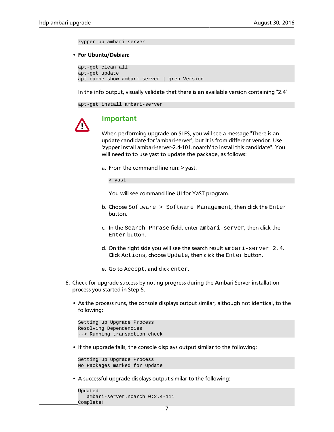zypper up ambari-server

#### • **For Ubuntu/Debian:**

apt-get clean all apt-get update apt-cache show ambari-server | grep Version

In the info output, visually validate that there is an available version containing "2.4"

apt-get install ambari-server



#### **Important**

When performing upgrade on SLES, you will see a message "There is an update candidate for 'ambari-server', but it is from different vendor. Use 'zypper install ambari-server-2.4-101.noarch' to install this candidate". You will need to to use yast to update the package, as follows:

a. From the command line run: > yast.

> yast

You will see command line UI for YaST program.

- b. Choose Software > Software Management, then click the Enter button.
- c. In the Search Phrase field, enter ambari-server, then click the Enter button.
- d. On the right side you will see the search result ambari-server 2.4. Click Actions, choose Update, then click the Enter button.
- e. Go to Accept, and click enter.
- 6. Check for upgrade success by noting progress during the Ambari Server installation process you started in Step 5.
	- As the process runs, the console displays output similar, although not identical, to the following:

```
Setting up Upgrade Process
Resolving Dependencies
--> Running transaction check
```
• If the upgrade fails, the console displays output similar to the following:

```
Setting up Upgrade Process
No Packages marked for Update
```
• A successful upgrade displays output similar to the following:

```
Updated:
    ambari-server.noarch 0:2.4-111 
Complete!
```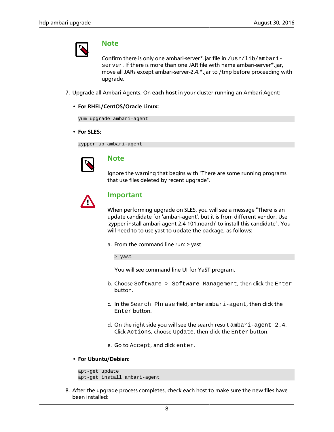

#### **Note**

Confirm there is only one ambari-server\*.jar file in /usr/lib/ambariserver. If there is more than one JAR file with name ambari-server\*.jar, move all JARs except ambari-server-2.4.\*.jar to /tmp before proceeding with upgrade.

- 7. Upgrade all Ambari Agents. On **each host** in your cluster running an Ambari Agent:
	- **For RHEL/CentOS/Oracle Linux:**

yum upgrade ambari-agent

• **For SLES:**

zypper up ambari-agent



### **Note**

Ignore the warning that begins with "There are some running programs that use files deleted by recent upgrade".



#### **Important**

When performing upgrade on SLES, you will see a message "There is an update candidate for 'ambari-agent', but it is from different vendor. Use 'zypper install ambari-agent-2.4-101.noarch' to install this candidate". You will need to to use yast to update the package, as follows:

a. From the command line run: > yast

> yast

You will see command line UI for YaST program.

- b. Choose Software > Software Management, then click the Enter button.
- c. In the Search Phrase field, enter ambari-agent, then click the Enter button.
- d. On the right side you will see the search result ambari-agent 2.4. Click Actions, choose Update, then click the Enter button.
- e. Go to Accept, and click enter.
- **For Ubuntu/Debian:**

```
apt-get update
apt-get install ambari-agent
```
8. After the upgrade process completes, check each host to make sure the new files have been installed: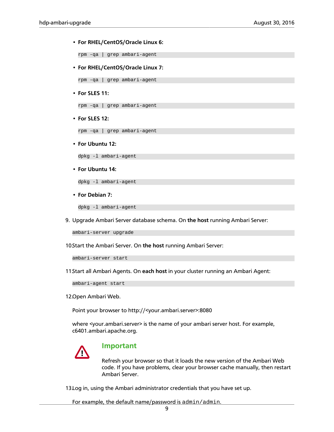#### • **For RHEL/CentOS/Oracle Linux 6:**

rpm -qa | grep ambari-agent

• **For RHEL/CentOS/Oracle Linux 7:**

rpm -qa | grep ambari-agent

• **For SLES 11:**

rpm -qa | grep ambari-agent

• **For SLES 12:**

rpm -qa | grep ambari-agent

• **For Ubuntu 12:**

dpkg -l ambari-agent

• **For Ubuntu 14:**

dpkg -l ambari-agent

• **For Debian 7:**

dpkg -l ambari-agent

9. Upgrade Ambari Server database schema. On **the host** running Ambari Server:

ambari-server upgrade

10.Start the Ambari Server. On the host running Ambari Server:

ambari-server start

11.Start all Ambari Agents. On **each host** in your cluster running an Ambari Agent:

ambari-agent start

12.Open Ambari Web.

Point your browser to http://<your.ambari.server>:8080

where <your.ambari.server> is the name of your ambari server host. For example, c6401.ambari.apache.org.



#### **Important**

Refresh your browser so that it loads the new version of the Ambari Web code. If you have problems, clear your browser cache manually, then restart Ambari Server.

13.Log in, using the Ambari administrator credentials that you have set up.

For example, the default name/password is admin/admin.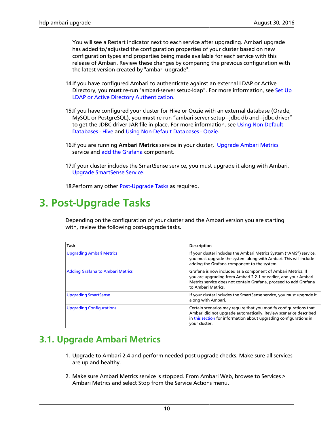You will see a Restart indicator next to each service after upgrading. Ambari upgrade has added to/adjusted the configuration properties of your cluster based on new configuration types and properties being made available for each service with this release of Ambari. Review these changes by comparing the previous configuration with the latest version created by "ambari-upgrade".

- 14.If you have configured Ambari to authenticate against an external LDAP or Active Directory, you **must** re-run "ambari-server setup-ldap". For more information, see [Set Up](http://docs.hortonworks.com/HDPDocuments/Ambari-2.4.0.1/bk_ambari-security/content/configuring_ambari_for_ldap_or_active_directory_authentication.html) [LDAP or Active Directory Authentication](http://docs.hortonworks.com/HDPDocuments/Ambari-2.4.0.1/bk_ambari-security/content/configuring_ambari_for_ldap_or_active_directory_authentication.html).
- 15.If you have configured your cluster for Hive or Oozie with an external database (Oracle, MySQL or PostgreSQL), you must re-run "ambari-server setup --jdbc-db and --jdbc-driver" to get the JDBC driver JAR file in place. For more information, see [Using Non-Default](http://docs.hortonworks.com/HDPDocuments/Ambari-2.4.0.1/bk_ambari-reference/content/using_non-default_databases_-_hive.html) [Databases - Hive](http://docs.hortonworks.com/HDPDocuments/Ambari-2.4.0.1/bk_ambari-reference/content/using_non-default_databases_-_hive.html) and [Using Non-Default Databases - Oozie.](http://docs.hortonworks.com/HDPDocuments/Ambari-2.4.0.1/bk_ambari-reference/content/using_non-default_databases_-_oozie.html)
- 16.If you are running **Ambari Metrics** service in your cluster, [Upgrade Ambari Metrics](upgrade_ambari_metrics.html) service and [add the Grafana](adding_grafana_to_ambari_metrics.html) component.
- 17.If your cluster includes the SmartSense service, you must upgrade it along with Ambari, [Upgrade SmartSense Service.](http://docs.hortonworks.com/HDPDocuments/SS1/SmartSense-1.3.0/bk_installation/content/upgrade_scenarios.html)

18.Perform any other [Post-Upgrade Tasks](http://docs.hortonworks.com/HDPDocuments/Ambari-2.4.0.1/bk_ambari-upgrade/content/post_ambari_upgrade_tasks.html) as required.

# <span id="page-14-0"></span>**3. Post-Upgrade Tasks**

Depending on the configuration of your cluster and the Ambari version you are starting with, review the following post-upgrade tasks.

| <b>Task</b>                             | <b>Description</b>                                                                                                                                                                                                          |
|-----------------------------------------|-----------------------------------------------------------------------------------------------------------------------------------------------------------------------------------------------------------------------------|
| <b>Upgrading Ambari Metrics</b>         | If your cluster includes the Ambari Metrics System ("AMS") service,<br>you must upgrade the system along with Ambari. This will include<br>adding the Grafana component to the system.                                      |
| <b>Adding Grafana to Ambari Metrics</b> | Grafana is now included as a component of Ambari Metrics. If<br>you are upgrading from Ambari 2.2.1 or earlier, and your Ambari<br>Metrics service does not contain Grafana, proceed to add Grafana<br>to Ambari Metrics.   |
| <b>Upgrading SmartSense</b>             | If your cluster includes the SmartSense service, you must upgrade it<br>along with Ambari.                                                                                                                                  |
| <b>Upgrading Configurations</b>         | Certain scenarios may require that you modify configurations that<br>Ambari did not upgrade automatically. Review scenarios described<br>in this section for information about upgrading configurations in<br>your cluster. |

# <span id="page-14-1"></span>**3.1. Upgrade Ambari Metrics**

- 1. Upgrade to Ambari 2.4 and perform needed post-upgrade checks. Make sure all services are up and healthy.
- 2. Make sure Ambari Metrics service is stopped. From Ambari Web, browse to Services > Ambari Metrics and select Stop from the Service Actions menu.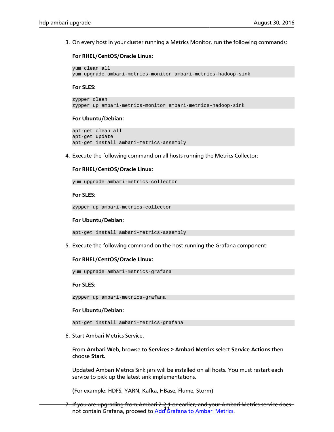3. On every host in your cluster running a Metrics Monitor, run the following commands:

**For RHEL/CentOS/Oracle Linux:**

```
yum clean all
yum upgrade ambari-metrics-monitor ambari-metrics-hadoop-sink
```
**For SLES:**

```
zypper clean
zypper up ambari-metrics-monitor ambari-metrics-hadoop-sink
```
#### **For Ubuntu/Debian:**

```
apt-get clean all
apt-get update
apt-get install ambari-metrics-assembly
```
4. Execute the following command on all hosts running the Metrics Collector:

#### **For RHEL/CentOS/Oracle Linux:**

yum upgrade ambari-metrics-collector

**For SLES:**

zypper up ambari-metrics-collector

#### **For Ubuntu/Debian:**

```
apt-get install ambari-metrics-assembly
```
5. Execute the following command on the host running the Grafana component:

#### **For RHEL/CentOS/Oracle Linux:**

yum upgrade ambari-metrics-grafana

#### **For SLES:**

zypper up ambari-metrics-grafana

#### **For Ubuntu/Debian:**

apt-get install ambari-metrics-grafana

6. Start Ambari Metrics Service.

From **Ambari Web**, browse to **Services > Ambari Metrics** select **Service Actions** then choose **Start**.

Updated Ambari Metrics Sink jars will be installed on all hosts. You must restart each service to pick up the latest sink implementations.

(For example: HDFS, YARN, Kafka, HBase, Flume, Storm)

n you are apgrading in our ambarrance or carrier, and you rained<br>not contain Grafana, proceed to [Add Grafana to Ambari Metrics](adding_grafana_to_ambari_metrics.html). 7. If you are upgrading from Ambari 2.2.1 or earlier, and your Ambari Metrics service does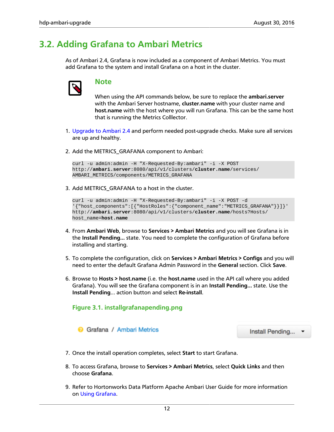# <span id="page-16-0"></span>**3.2. Adding Grafana to Ambari Metrics**

As of Ambari 2.4, Grafana is now included as a component of Ambari Metrics. You must add Grafana to the system and install Grafana on a host in the cluster.



### **Note**

When using the API commands below, be sure to replace the **ambari.server** with the Ambari Server hostname, **cluster.name** with your cluster name and **host.name** with the host where you will run Grafana. This can be the same host that is running the Metrics Colllector.

- 1. [Upgrade to Ambari 2.4](http://docs.hortonworks.com/HDPDocuments/Ambari-2.4.0.1/bk_ambari-upgrade/content/upgrade_ambari.html) and perform needed post-upgrade checks. Make sure all services are up and healthy.
- 2. Add the METRICS\_GRAFANA component to Ambari:

```
curl -u admin:admin -H "X-Requested-By:ambari" -i -X POST
http://ambari.server:8080/api/v1/clusters/cluster.name/services/
AMBARI_METRICS/components/METRICS_GRAFANA
```
3. Add METRICS\_GRAFANA to a host in the cluster.

```
curl -u admin:admin -H "X-Requested-By:ambari" -i -X POST -d
'{"host_components":[{"HostRoles":{"component_name":"METRICS_GRAFANA"}}]}'
http://ambari.server:8080/api/v1/clusters/cluster.name/hosts?Hosts/
host_name=host.name
```
- 4. From **Ambari Web**, browse to **Services > Ambari Metrics** and you will see Grafana is in the **Install Pending…** state. You need to complete the configuration of Grafana before installing and starting.
- 5. To complete the configuration, click on **Services > Ambari Metrics > Configs** and you will need to enter the default Grafana Admin Password in the **General** section. Click **Save**.
- <span id="page-16-1"></span>6. Browse to **Hosts > host.name** (i.e. the **host.name** used in the API call where you added Grafana). You will see the Grafana component is in an **Install Pending…** state. Use the **Install Pending**… action button and select **Re-install**.

#### **Figure 3.1. installgrafanapending.png**

**a** Grafana / Ambari Metrics

Install Pending... •

- 7. Once the install operation completes, select **Start** to start Grafana.
- 8. To access Grafana, browse to **Services > Ambari Metrics**, select **Quick Links** and then choose **Grafana**.
- 9. Refer to Hortonworks Data Platform Apache Ambari User Guide for more information on [Using Grafana.](http://docs.hortonworks.com/HDPDocuments/Ambari-2.4.0.1/bk_ambari-user-guide/content/using_grafana.html)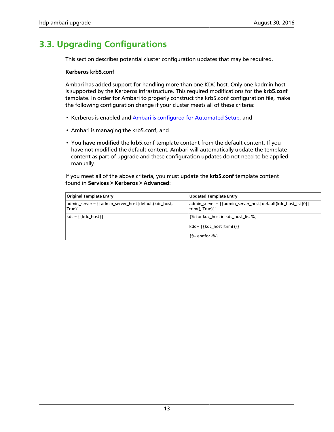# <span id="page-17-0"></span>**3.3. Upgrading Configurations**

This section describes potential cluster configuration updates that may be required.

#### **Kerberos krb5.conf**

Ambari has added support for handling more than one KDC host. Only one kadmin host is supported by the Kerberos infrastructure. This required modifications for the **krb5.conf** template. In order for Ambari to properly construct the krb5.conf configuration file, make the following configuration change if your cluster meets all of these criteria:

- Kerberos is enabled and [Ambari is configured for Automated Setup](http://docs.hortonworks.com/HDPDocuments/Ambari-2.4.0.1/bk_ambari-security/content/running_the_kerberos_wizard.html), and
- Ambari is managing the krb5.conf, and
- You **have modified** the krb5.conf template content from the default content. If you have not modified the default content, Ambari will automatically update the template content as part of upgrade and these configuration updates do not need to be applied manually.

If you meet all of the above criteria, you must update the **krb5.conf** template content found in **Services > Kerberos > Advanced**:

| <b>Original Template Entry</b>                                         | Updated Template Entry                                                                 |
|------------------------------------------------------------------------|----------------------------------------------------------------------------------------|
| admin_server = { {admin_server_host   default (kdc_host,<br>$True$ }}} | admin_server = { { admin_server_host   default(kdc_host_list[0]  <br>trim(), $True$ }} |
| $kdc = \{\{kdc \; host\}\}\$                                           | {% for kdc_host in kdc_host_list %}                                                    |
|                                                                        | kdc = { {kdc_host   trim() } }                                                         |
|                                                                        | $\frac{9}{6}$ - endfor -%}                                                             |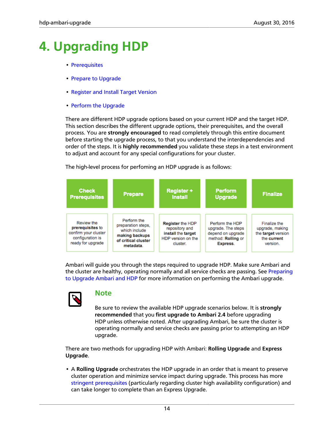# <span id="page-18-0"></span>**4. Upgrading HDP**

- [Prerequisites](upgrading_HDP_prerequisites.html)
- [Prepare to Upgrade](upgrading_HDP_prepare_to_upgrade.html)
- [Register and Install Target Version](upgrading_HDP_register_and_install_target_version.html)
- [Perform the Upgrade](upgrading_HDP_perform_the_upgrade.html)

There are different HDP upgrade options based on your current HDP and the target HDP. This section describes the different upgrade options, their prerequisites, and the overall process. You are **strongly encouraged** to read completely through this entire document before starting the upgrade process, to that you understand the interdependencies and order of the steps. It is **highly recommended** you validate these steps in a test environment to adjust and account for any special configurations for your cluster.

The high-level process for perfoming an HDP upgrade is as follows:



Ambari will guide you through the steps required to upgrade HDP. Make sure Ambari and the cluster are healthy, operating normally and all service checks are passing. See [Preparing](http://docs.hortonworks.com/HDPDocuments/Ambari-2.4.0.1/bk_ambari-upgrade/content/preparing_to_upgrade_ambari_and_hdp.html) [to Upgrade Ambari and HDP](http://docs.hortonworks.com/HDPDocuments/Ambari-2.4.0.1/bk_ambari-upgrade/content/preparing_to_upgrade_ambari_and_hdp.html) for more information on performing the Ambari upgrade.



### **Note**

Be sure to review the available HDP upgrade scenarios below. It is **strongly recommended** that you **first upgrade to Ambari 2.4** before upgrading HDP unless otherwise noted. After upgrading Ambari, be sure the cluster is operating normally and service checks are passing prior to attempting an HDP upgrade.

There are two methods for upgrading HDP with Ambari: **Rolling Upgrade** and **Express Upgrade**.

• A **Rolling Upgrade** orchestrates the HDP upgrade in an order that is meant to preserve cluster operation and minimize service impact during upgrade. This process has more [stringent prerequisites](upgrading_HDP_prerequisites.html) (particularly regarding cluster high availability configuration) and can take longer to complete than an Express Upgrade.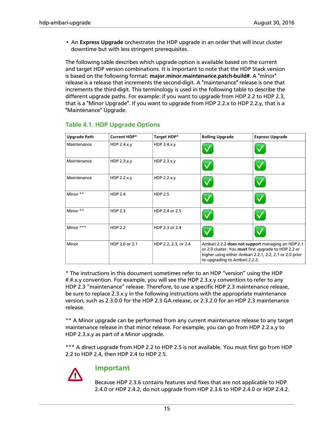• An **Express Upgrade** orchestrates the HDP upgrade in an order that will incur cluster downtime but with less stringent prerequisites.

The following table describes which upgrade option is available based on the current and target HDP version combinations. It is important to note that the HDP Stack version is based on the following format: **major.minor.maintenance.patch-build#**. A "minor" release is a release that increments the second-digit. A "maintenance" release is one that increments the third-digit. This terminology is used in the following table to describe the different upgrade paths. For example: if you want to upgrade from HDP 2.2 to HDP 2.3, that is a "Minor Upgrade". If you want to upgrade from HDP 2.2.x to HDP 2.2.y, that is a "Maintenance" Upgrade.

| <b>Upgrade Path</b> | Current HDP*   | Target HDP*          | <b>Rolling Upgrade</b>        | <b>Express Upgrade</b>                                                                                                                                               |
|---------------------|----------------|----------------------|-------------------------------|----------------------------------------------------------------------------------------------------------------------------------------------------------------------|
| Maintenance         | HDP 2.4.x.y    | HDP 2.4.x.y          |                               |                                                                                                                                                                      |
| Maintenance         | HDP 2.3.x.y    | HDP 2.3.x.y          |                               |                                                                                                                                                                      |
| Maintenance         | HDP 2.2.x.y    | HDP 2.2.x.y          |                               |                                                                                                                                                                      |
| Minor **            | <b>HDP 2.4</b> | <b>HDP 2.5</b>       |                               |                                                                                                                                                                      |
| Minor **            | <b>HDP 2.3</b> | HDP 2.4 or 2.5       |                               |                                                                                                                                                                      |
| Minor ***           | <b>HDP 2.2</b> | HDP 2.3 or 2.4       |                               |                                                                                                                                                                      |
| Minor               | HDP 2.0 or 2.1 | HDP 2.2, 2.3, or 2.4 | to upgrading to Ambari 2.2.2. | Ambari 2.2.2 does not support managing an HDP 2.1<br>or 2.0 cluster. You must first upgrade to HDP 2.2 or<br>higher using either Ambari 2.2.1, 2.2, 2.1 or 2.0 prior |

### <span id="page-19-0"></span>**Table 4.1. HDP Upgrade Options**

\* The instructions in this document sometimes refer to an HDP "version" using the HDP #.#.x.y convention. For example, you will see the HDP 2.3.x.y convention to refer to any HDP 2.3 "maintenance" release. Therefore, to use a specific HDP 2.3 maintenance release, be sure to replace 2.3.x.y in the following instructions with the appropriate maintenance version, such as 2.3.0.0 for the HDP 2.3 GA release, or 2.3.2.0 for an HDP 2.3 maintenance release.

\*\* A Minor upgrade can be performed from any current maintenance release to any target maintenance release in that minor release. For example, you can go from HDP 2.2.x.y to HDP 2.3.x.y as part of a Minor upgrade.

\*\*\* A direct upgrade from HDP 2.2 to HDP 2.5 is not available. You must first go from HDP 2.2 to HDP 2.4, then HDP 2.4 to HDP 2.5.



### **Important**

Because HDP 2.3.6 contains features and fixes that are not applicable to HDP 2.4.0 or HDP 2.4.2, do not upgrade from HDP 2.3.6 to HDP 2.4.0 or HDP 2.4.2.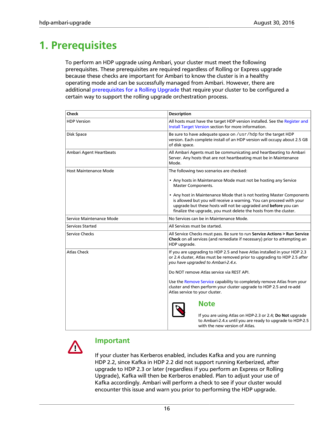# <span id="page-20-0"></span>**1. Prerequisites**

To perform an HDP upgrade using Ambari, your cluster must meet the following prerequisites. These prerequisites are required regardless of Rolling or Express upgrade because these checks are important for Ambari to know the cluster is in a healthy operating mode and can be successfully managed from Ambari. However, there are additional [prerequisites for a Rolling Upgrade](HDP_rolling_upgrade_prerequisites.html) that require your cluster to be configured a certain way to support the rolling upgrade orchestration process.

| <b>Check</b>                 | <b>Description</b>                                                                                                                                                                                                                                                                   |  |
|------------------------------|--------------------------------------------------------------------------------------------------------------------------------------------------------------------------------------------------------------------------------------------------------------------------------------|--|
| <b>HDP Version</b>           | All hosts must have the target HDP version installed. See the Register and<br>Install Target Version section for more information.                                                                                                                                                   |  |
| Disk Space                   | Be sure to have adequate space on /usr/hdp for the target HDP<br>version. Each complete install of an HDP version will occupy about 2.5 GB<br>of disk space.                                                                                                                         |  |
| Ambari Agent Heartbeats      | All Ambari Agents must be communicating and heartbeating to Ambari<br>Server. Any hosts that are not heartbeating must be in Maintenance<br>Mode.                                                                                                                                    |  |
| <b>Host Maintenance Mode</b> | The following two scenarios are checked:                                                                                                                                                                                                                                             |  |
|                              | • Any hosts in Maintenance Mode must not be hosting any Service<br><b>Master Components.</b>                                                                                                                                                                                         |  |
|                              | • Any host in Maintenance Mode that is not hosting Master Components<br>is allowed but you will receive a warning. You can proceed with your<br>upgrade but these hosts will not be upgraded and before you can<br>finalize the upgrade, you must delete the hosts from the cluster. |  |
| Service Maintenance Mode     | No Services can be in Maintenance Mode.                                                                                                                                                                                                                                              |  |
| Services Started             | All Services must be started.                                                                                                                                                                                                                                                        |  |
| Service Checks               | All Service Checks must pass. Be sure to run Service Actions > Run Service<br>Check on all services (and remediate if necessary) prior to attempting an<br>HDP upgrade.                                                                                                              |  |
| <b>Atlas Check</b>           | If you are upgrading to HDP 2.5 and have Atlas installed in your HDP 2.3<br>or 2.4 cluster, Atlas must be removed prior to upgrading to HDP 2.5 after<br>you have upgraded to Ambari-2.4.x.                                                                                          |  |
|                              | Do NOT remove Atlas service via REST API.                                                                                                                                                                                                                                            |  |
|                              | Use the Remove Service capability to completely remove Atlas from your<br>cluster and then perform your cluster upgrade to HDP 2.5 and re-add<br>Atlas service to your cluster.                                                                                                      |  |
|                              | <b>Note</b><br>If you are using Atlas on HDP-2.3 or 2.4; Do Not upgrade<br>to Ambari-2.4.x until you are ready to upgrade to HDP-2.5<br>with the new version of Atlas.                                                                                                               |  |



### **Important**

If your cluster has Kerberos enabled, includes Kafka and you are running HDP 2.2, since Kafka in HDP 2.2 did not support running Kerberized, after upgrade to HDP 2.3 or later (regardless if you perform an Express or Rolling Upgrade), Kafka will then be Kerberos enabled. Plan to adjust your use of Kafka accordingly. Ambari will perform a check to see if your cluster would encounter this issue and warn you prior to performing the HDP upgrade.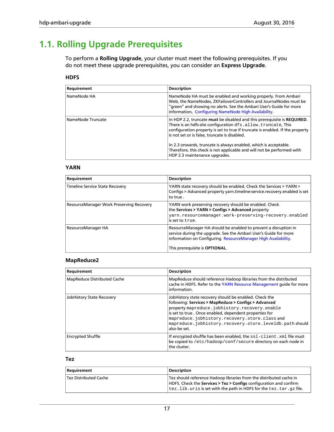# <span id="page-21-0"></span>**1.1. Rolling Upgrade Prerequisites**

To perform a **Rolling Upgrade**, your cluster must meet the following prerequisites. If you do not meet these upgrade prerequisites, you can consider an **Express Upgrade**.

#### **HDFS**

| Requirement       | <b>Description</b>                                                                                                                                                                                                                                                         |
|-------------------|----------------------------------------------------------------------------------------------------------------------------------------------------------------------------------------------------------------------------------------------------------------------------|
| NameNode HA       | NameNode HA must be enabled and working properly. From Ambari<br>Web, the NameNodes, ZKFailoverControllers and JournalNodes must be<br>"green" and showing no alerts. See the Ambari User's Guide for more<br>information, Configuring NameNode High Availability.         |
| NameNode Truncate | In HDP 2.2, truncate must be disabled and this prerequisite is REQUIRED.<br>There is an hdfs-site configuration dfs.allow.truncate, This<br>configuration property is set to true if truncate is enabled. If the property<br>is not set or is false, truncate is disabled. |
|                   | In 2.3 onwards, truncate is always enabled, which is acceptable.<br>Therefore, this check is not applicable and will not be performed with<br>HDP 2.3 maintenance upgrades.                                                                                                |

#### **YARN**

| Requirement                              | <b>Description</b>                                                                                                                                                                                                                     |
|------------------------------------------|----------------------------------------------------------------------------------------------------------------------------------------------------------------------------------------------------------------------------------------|
| Timeline Service State Recovery          | YARN state recovery should be enabled. Check the Services > YARN ><br>Configs > Advanced property yarn.timeline-service.recovery.enabled is set<br>to true.                                                                            |
| ResourceManager Work Preserving Recovery | YARN work preserving recovery should be enabled. Check<br>the Services > YARN > Configs > Advanced property<br>yarn.resourcemanager.work-preserving-recovery.enabled<br>is set to t.rue.                                               |
| ResourceManager HA                       | ResourceManager HA should be enabled to prevent a disruption in<br>service during the upgrade. See the Ambari User's Guide for more<br>information on Configuring ResourceManager High Availability.<br>This prerequisite is OPTIONAL. |

#### **MapReduce2**

| Requirement                        | <b>Description</b>                                                                                                                                                                                                                                                                                                                                    |
|------------------------------------|-------------------------------------------------------------------------------------------------------------------------------------------------------------------------------------------------------------------------------------------------------------------------------------------------------------------------------------------------------|
| <b>MapReduce Distributed Cache</b> | MapReduce should reference Hadoop libraries from the distributed<br>cache in HDFS. Refer to the YARN Resource Management quide for more<br>information.                                                                                                                                                                                               |
| <b>JobHistory State Recovery</b>   | JobHistory state recovery should be enabled. Check the<br>following: Services > MapReduce > Configs > Advanced<br>property mapreduce.jobhistory.recovery.enable<br>is set to true . Once enabled, dependent properties for<br>mapreduce.jobhistory.recovery.store.classand<br>mapreduce.jobhistory.recovery.store.leveldb.path should<br>also be set. |
| <b>Encrypted Shuffle</b>           | If encrypted shuffle has been enabled, the ssl-client. xml file must<br>be copied to /etc/hadoop/conf/secure directory on each node in<br>the cluster.                                                                                                                                                                                                |

#### **Tez**

| Requirement           | <b>Description</b>                                                                                                                                                                                                                                               |
|-----------------------|------------------------------------------------------------------------------------------------------------------------------------------------------------------------------------------------------------------------------------------------------------------|
| Tez Distributed Cache | Tez should reference Hadoop libraries from the distributed cache in<br>HDFS. Check the <b>Services &gt; Tez &gt; Configs</b> configuration and confirm<br>$\epsilon$ tez. lib. uris is set with the path in HDFS for the $\epsilon$ ez. $\tan \epsilon$ az file. |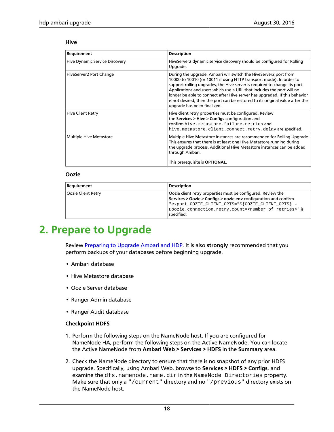#### **Hive**

| Requirement                    | <b>Description</b>                                                                                                                                                                                                                                                                                                                                                                                                                                                                          |
|--------------------------------|---------------------------------------------------------------------------------------------------------------------------------------------------------------------------------------------------------------------------------------------------------------------------------------------------------------------------------------------------------------------------------------------------------------------------------------------------------------------------------------------|
| Hive Dynamic Service Discovery | HiveServer2 dynamic service discovery should be configured for Rolling<br>Upgrade.                                                                                                                                                                                                                                                                                                                                                                                                          |
| HiveServer2 Port Change        | During the upgrade, Ambari will switch the HiveServer2 port from<br>10000 to 10010 (or 10011 if using HTTP transport mode). In order to<br>support rolling upgrades, the Hive server is required to change its port.<br>Applications and users which use a URL that includes the port will no<br>longer be able to connect after Hive server has upgraded. If this behavior<br>is not desired, then the port can be restored to its original value after the<br>upgrade has been finalized. |
| <b>Hive Client Retry</b>       | Hive client retry properties must be configured. Review<br>the Services > Hive > Configs configuration and<br>confirm hive.metastore.failure.retries and<br>hive.metastore.client.connect.retry.delayarespecified.                                                                                                                                                                                                                                                                          |
| <b>Multiple Hive Metastore</b> | Multiple Hive Metastore instances are recommended for Rolling Upgrade.<br>This ensures that there is at least one Hive Metastore running during<br>the upgrade process. Additional Hive Metastore instances can be added<br>through Ambari.                                                                                                                                                                                                                                                 |
|                                | This prerequisite is <b>OPTIONAL</b> .                                                                                                                                                                                                                                                                                                                                                                                                                                                      |

#### **Oozie**

| Requirement        | <b>Description</b>                                                                                                                                                                                                                                                             |
|--------------------|--------------------------------------------------------------------------------------------------------------------------------------------------------------------------------------------------------------------------------------------------------------------------------|
| Oozie Client Retry | Oozie client retry properties must be configured. Review the<br>Services > Oozie > Configs > oozie-env configuration and confirm<br>"export OOZIE_CLIENT_OPTS="\${OOZIE_CLIENT_OPTS} -<br>Doozie.connection.retry.count= <number of="" retries="">" is<br/>specified.</number> |

# <span id="page-22-0"></span>**2. Prepare to Upgrade**

Review [Preparing to Upgrade Ambari and HDP.](http://docs.hortonworks.com/HDPDocuments/Ambari-2.4.0.1/bk_ambari-upgrade/content/preparing_to_upgrade_ambari_and_hdp.html) It is also **strongly** recommended that you perform backups of your databases before beginning upgrade.

- Ambari database
- Hive Metastore database
- Oozie Server database
- Ranger Admin database
- Ranger Audit database

#### **Checkpoint HDFS**

- 1. Perform the following steps on the NameNode host. If you are configured for NameNode HA, perform the following steps on the Active NameNode. You can locate the Active NameNode from **Ambari Web > Services > HDFS** in the **Summary** area.
- 2. Check the NameNode directory to ensure that there is no snapshot of any prior HDFS upgrade. Specifically, using Ambari Web, browse to **Services > HDFS > Configs**, and examine the dfs.namenode.name.dir in the NameNode Directories property. Make sure that only a "/current" directory and no "/previous" directory exists on the NameNode host.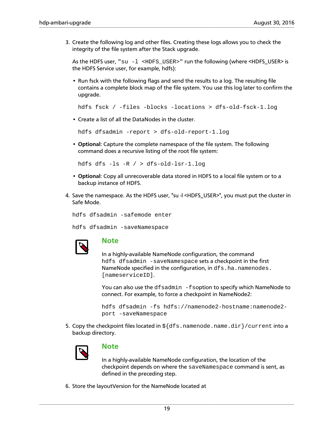3. Create the following log and other files. Creating these logs allows you to check the integrity of the file system after the Stack upgrade.

As the HDFS user,  $"su -1$  <HDFS USER>" run the following (where <HDFS\_USER> is the HDFS Service user, for example, hdfs):

• Run fsck with the following flags and send the results to a log. The resulting file contains a complete block map of the file system. You use this log later to confirm the upgrade.

```
hdfs fsck / -files -blocks -locations > dfs-old-fsck-1.log
```
• Create a list of all the DataNodes in the cluster.

hdfs dfsadmin -report > dfs-old-report-1.log

• **Optional**: Capture the complete namespace of the file system. The following command does a recursive listing of the root file system:

hdfs dfs -ls -R / > dfs-old-lsr-1.log

- **Optional**: Copy all unrecoverable data stored in HDFS to a local file system or to a backup instance of HDFS.
- 4. Save the namespace. As the HDFS user, "su -l <HDFS\_USER>", you must put the cluster in Safe Mode.

hdfs dfsadmin -safemode enter

hdfs dfsadmin -saveNamespace



### **Note**

In a highly-available NameNode configuration, the command hdfs dfsadmin -saveNamespace sets a checkpoint in the first NameNode specified in the configuration, in dfs.ha.namenodes. [nameserviceID].

You can also use the df sadmin -f soption to specify which NameNode to connect. For example, to force a checkpoint in NameNode2:

```
hdfs dfsadmin -fs hdfs://namenode2-hostname:namenode2-
port -saveNamespace
```
5. Copy the checkpoint files located in  $\frac{1}{5}$  (dfs.namenode.name.dir)/current into a backup directory.



### **Note**

In a highly-available NameNode configuration, the location of the checkpoint depends on where the saveNamespace command is sent, as defined in the preceding step.

6. Store the layoutVersion for the NameNode located at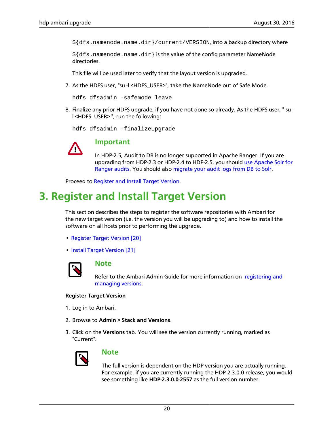\${dfs.namenode.name.dir}/current/VERSION, into a backup directory where

 $\frac{1}{2}$ {dfs.namenode.name.dir} is the value of the config parameter NameNode directories.

This file will be used later to verify that the layout version is upgraded.

7. As the HDFS user, "su -l <HDFS\_USER>", take the NameNode out of Safe Mode.

hdfs dfsadmin -safemode leave

8. Finalize any prior HDFS upgrade, if you have not done so already. As the HDFS user, " su l <HDFS\_USER> ", run the following:

hdfs dfsadmin -finalizeUpgrade



### **Important**

In HDP-2.5, Audit to DB is no longer supported in Apache Ranger. If you are upgrading from HDP-2.3 or HDP-2.4 to HDP-2.5, you should [use Apache Solr for](http://docs.hortonworks.com/HDPDocuments/HDP2/HDP-2.5.0/bk_security/content/using_apache_solr_for_ranger_audits.html) [Ranger audits](http://docs.hortonworks.com/HDPDocuments/HDP2/HDP-2.5.0/bk_security/content/using_apache_solr_for_ranger_audits.html). You should also [migrate your audit logs from DB to Solr.](http://docs.hortonworks.com/HDPDocuments/HDP2/HDP-2.5.0/bk_security/content/migrating_audit_logs_from_db_to_solr_in_ambari_clusters.html)

Proceed to [Register and Install Target Version.](upgrading_HDP_register_and_install_target_version.html)

# <span id="page-24-0"></span>**3. Register and Install Target Version**

This section describes the steps to register the software repositories with Ambari for the new target version (i.e. the version you will be upgrading to) and how to install the software on all hosts prior to performing the upgrade.

- [Register Target Version \[20\]](#page-24-1)
- [Install Target Version \[21\]](#page-25-0)



### **Note**

Refer to the Ambari Admin Guide for more information on [registering and](http://docs.hortonworks.com/HDPDocuments/Ambari-2.4.0.1/bk_ambari-administration/content/managing_versions.html) [managing versions.](http://docs.hortonworks.com/HDPDocuments/Ambari-2.4.0.1/bk_ambari-administration/content/managing_versions.html)

#### <span id="page-24-1"></span>**Register Target Version**

- 1. Log in to Ambari.
- 2. Browse to **Admin > Stack and Versions**.
- 3. Click on the **Versions** tab. You will see the version currently running, marked as "Current".



### **Note**

The full version is dependent on the HDP version you are actually running. For example, if you are currently running the HDP 2.3.0.0 release, you would see something like **HDP-2.3.0.0-2557** as the full version number.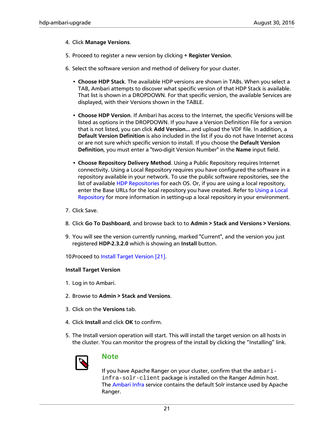#### 4. Click **Manage Versions**.

- 5. Proceed to register a new version by clicking **+ Register Version**.
- 6. Select the software version and method of delivery for your cluster.
	- **Choose HDP Stack**. The available HDP versions are shown in TABs. When you select a TAB, Ambari attempts to discover what specific version of that HDP Stack is available. That list is shown in a DROPDOWN. For that specific version, the available Services are displayed, with their Versions shown in the TABLE.
	- **Choose HDP Version**. If Ambari has access to the Internet, the specific Versions will be listed as options in the DROPDOWN. If you have a Version Definition File for a version that is not listed, you can click **Add Version…** and upload the VDF file. In addition, a **Default Version Definition** is also included in the list if you do not have Internet access or are not sure which specific version to install. If you choose the **Default Version Definition**, you must enter a "two-digit Version Number" in the **Name** input field.
	- **Choose Repository Delivery Method**. Using a Public Repository requires Internet connectivity. Using a Local Repository requires you have configured the software in a repository available in your network. To use the public software repositories, see the list of available [HDP Repositories](http://docs.hortonworks.com/HDPDocuments/Ambari-2.4.0.1/bk_ambari-installation/content/hdp_stack_repositories.html) for each OS. Or, if you are using a local repository, enter the Base URLs for the local repository you have created. Refer to [Using a Local](http://docs.hortonworks.com/HDPDocuments/Ambari-2.4.0.1/bk_ambari-installation/content/using_a_local_repository.html) [Repository](http://docs.hortonworks.com/HDPDocuments/Ambari-2.4.0.1/bk_ambari-installation/content/using_a_local_repository.html) for more information in setting-up a local repository in your environment.
- 7. Click Save.
- 8. Click **Go To Dashboard**, and browse back to to **Admin > Stack and Versions > Versions**.
- 9. You will see the version currently running, marked "Current", and the version you just registered **HDP-2.3.2.0** which is showing an **Install** button.
- 10 Proceed to [Install Target Version \[21\].](#page-25-0)

#### <span id="page-25-0"></span>**Install Target Version**

- 1. Log in to Ambari.
- 2. Browse to **Admin > Stack and Versions**.
- 3. Click on the **Versions** tab.
- 4. Click **Install** and click **OK** to confirm.
- 5. The Install version operation will start. This will install the target version on all hosts in the cluster. You can monitor the progress of the install by clicking the "Installing" link.



### **Note**

If you have Apache Ranger on your cluster, confirm that the ambariinfra-solr-client package is installed on the Ranger Admin host. The [Ambari Infra](http://docs.hortonworks.com/HDPDocuments/Ambari-2.4.0.1/bk_ambari-user-guide/content/ch_ambari_infra.html) service contains the default Solr instance used by Apache Ranger.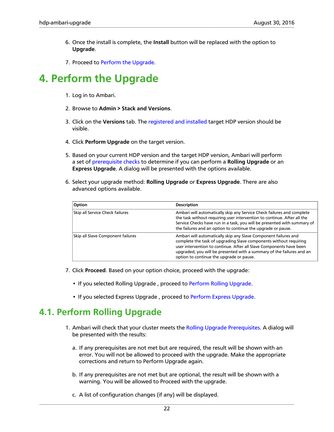- 6. Once the install is complete, the **Install** button will be replaced with the option to **Upgrade**.
- 7. Proceed to [Perform the Upgrade.](upgrading_HDP_perform_the_upgrade.html)

# <span id="page-26-0"></span>**4. Perform the Upgrade**

- 1. Log in to Ambari.
- 2. Browse to **Admin > Stack and Versions**.
- 3. Click on the **Versions** tab. The [registered and installed](upgrading_HDP_register_and_install_target_version.html) target HDP version should be visible.
- 4. Click **Perform Upgrade** on the target version.
- 5. Based on your current HDP version and the target HDP version, Ambari will perform a set of [prerequisite checks](upgrading_HDP_prerequisites.html) to determine if you can perform a **Rolling Upgrade** or an **Express Upgrade**. A dialog will be presented with the options available.
- 6. Select your upgrade method: **Rolling Upgrade** or **Express Upgrade**. There are also advanced options available.

| Option                            | <b>Description</b>                                                                                                                                                                                                                                                                                                               |
|-----------------------------------|----------------------------------------------------------------------------------------------------------------------------------------------------------------------------------------------------------------------------------------------------------------------------------------------------------------------------------|
| Skip all Service Check failures   | Ambari will automatically skip any Service Check failures and complete<br>the task without requiring user intervention to continue. After all the<br>Service Checks have run in a task, you will be presented with summary of<br>the failures and an option to continue the upgrade or pause.                                    |
| Skip all Slave Component failures | Ambari will automatically skip any Slave Component failures and<br>complete the task of upgrading Slave components without requiring<br>user intervention to continue. After all Slave Components have been<br>upgraded, you will be presented with a summary of the failures and an<br>option to continue the upgrade or pause. |

- 7. Click **Proceed**. Based on your option choice, proceed with the upgrade:
	- If you selected Rolling Upgrade , proceed to [Perform Rolling Upgrade.](upgrading_HDP_perform_rolling_upgrade.html)
	- If you selected Express Upgrade , proceed to [Perform Express Upgrade.](upgrading_HDP_perform_express_upgrade.html)

# <span id="page-26-1"></span>**4.1. Perform Rolling Upgrade**

- 1. Ambari will check that your cluster meets the [Rolling Upgrade Prerequisites.](HDP_rolling_upgrade_prerequisites.html) A dialog will be presented with the results:
	- a. If any prerequisites are not met but are required, the result will be shown with an error. You will not be allowed to proceed with the upgrade. Make the appropriate corrections and return to Perform Upgrade again.
	- b. If any prerequisites are not met but are optional, the result will be shown with a warning. You will be allowed to Proceed with the upgrade.
	- c. A list of configuration changes (if any) will be displayed.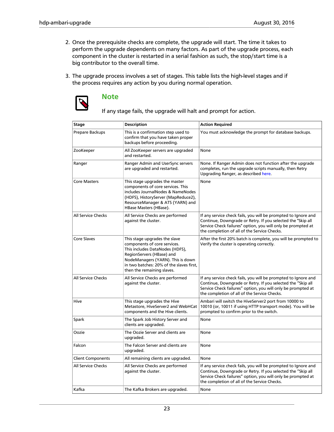- 2. Once the prerequisite checks are complete, the upgrade will start. The time it takes to perform the upgrade dependents on many factors. As part of the upgrade process, each component in the cluster is restarted in a serial fashion as such, the stop/start time is a big contributor to the overall time.
- 3. The upgrade process involves a set of stages. This table lists the high-level stages and if the process requires any action by you during normal operation.



### **Note**

If any stage fails, the upgrade will halt and prompt for action.

| Stage                    | <b>Description</b>                                                                                                                                                                                                                           | <b>Action Required</b>                                                                                                                                                                                                                        |
|--------------------------|----------------------------------------------------------------------------------------------------------------------------------------------------------------------------------------------------------------------------------------------|-----------------------------------------------------------------------------------------------------------------------------------------------------------------------------------------------------------------------------------------------|
| Prepare Backups          | This is a confirmation step used to<br>confirm that you have taken proper<br>backups before proceeding.                                                                                                                                      | You must acknowledge the prompt for database backups.                                                                                                                                                                                         |
| ZooKeeper                | All ZooKeeper servers are upgraded<br>and restarted.                                                                                                                                                                                         | None                                                                                                                                                                                                                                          |
| Ranger                   | Ranger Admin and UserSync servers<br>are upgraded and restarted.                                                                                                                                                                             | None. If Ranger Admin does not function after the upgrade<br>completes, run the upgrade scripts manually, then Retry<br>Upgrading Ranger, as described here.                                                                                  |
| <b>Core Masters</b>      | This stage upgrades the master<br>components of core services. This<br>includes JournalNodes & NameNodes<br>(HDFS), HistoryServer (MapReduce2),<br>ResourceManager & ATS (YARN) and<br>HBase Masters (HBase).                                | None                                                                                                                                                                                                                                          |
| All Service Checks       | All Service Checks are performed<br>against the cluster.                                                                                                                                                                                     | If any service check fails, you will be prompted to Ignore and<br>Continue, Downgrade or Retry. If you selected the "Skip all<br>Service Check failures" option, you will only be prompted at<br>the completion of all of the Service Checks. |
| Core Slaves              | This stage upgrades the slave<br>components of core services.<br>This includes DataNodes (HDFS),<br>RegionServers (HBase) and<br>NodeManagers (YARN). This is down<br>in two batches: 20% of the slaves first,<br>then the remaining slaves. | After the first 20% batch is complete, you will be prompted to<br>Verify the cluster is operating correctly.                                                                                                                                  |
| All Service Checks       | All Service Checks are performed<br>against the cluster.                                                                                                                                                                                     | If any service check fails, you will be prompted to Ignore and<br>Continue, Downgrade or Retry. If you selected the "Skip all<br>Service Check failures" option, you will only be prompted at<br>the completion of all of the Service Checks. |
| Hive                     | This stage upgrades the Hive<br>Metastore, HiveServer2 and WebHCat<br>components and the Hive clients.                                                                                                                                       | Ambari will switch the HiveServer2 port from 10000 to<br>10010 (or, 10011 if using HTTP transport mode). You will be<br>prompted to confirm prior to the switch.                                                                              |
| Spark                    | The Spark Job History Server and<br>clients are upgraded.                                                                                                                                                                                    | None                                                                                                                                                                                                                                          |
| Oozie                    | The Oozie Server and clients are<br>upgraded.                                                                                                                                                                                                | None                                                                                                                                                                                                                                          |
| Falcon                   | The Falcon Server and clients are<br>upgraded.                                                                                                                                                                                               | None                                                                                                                                                                                                                                          |
| <b>Client Components</b> | All remaining clients are upgraded.                                                                                                                                                                                                          | None                                                                                                                                                                                                                                          |
| All Service Checks       | All Service Checks are performed<br>against the cluster.                                                                                                                                                                                     | If any service check fails, you will be prompted to Ignore and<br>Continue, Downgrade or Retry. If you selected the "Skip all<br>Service Check failures" option, you will only be prompted at<br>the completion of all of the Service Checks. |
| Kafka                    | The Kafka Brokers are upgraded.                                                                                                                                                                                                              | None                                                                                                                                                                                                                                          |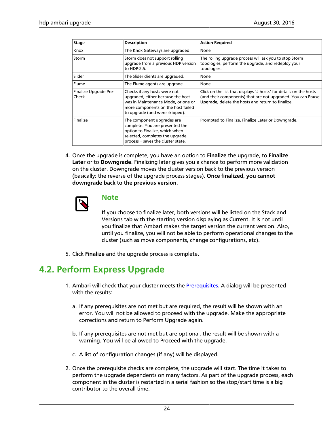| Stage                          | <b>Description</b>                                                                                                                                                              | <b>Action Required</b>                                                                                                                                                                 |
|--------------------------------|---------------------------------------------------------------------------------------------------------------------------------------------------------------------------------|----------------------------------------------------------------------------------------------------------------------------------------------------------------------------------------|
| Knox                           | The Knox Gateways are upgraded.                                                                                                                                                 | None                                                                                                                                                                                   |
| Storm                          | Storm does not support rolling<br>upgrade from a previous HDP version<br>to HDP-2.5.                                                                                            | The rolling upgrade process will ask you to stop Storm<br>topologies, perform the upgrade, and redeploy your<br>topologies.                                                            |
| Slider                         | The Slider clients are upgraded.                                                                                                                                                | None                                                                                                                                                                                   |
| Flume                          | The Flume agents are upgrade.                                                                                                                                                   | None                                                                                                                                                                                   |
| Finalize Upgrade Pre-<br>Check | Checks if any hosts were not<br>upgraded, either because the host<br>was in Maintenance Mode, or one or<br>more components on the host failed<br>to upgrade (and were skipped). | Click on the list that displays "# hosts" for details on the hosts<br>(and their components) that are not upgraded. You can Pause<br>Upgrade, delete the hosts and return to finalize. |
| Finalize                       | The component upgrades are<br>complete. You are presented the<br>option to Finalize, which when<br>selected, completes the upgrade<br>process + saves the cluster state.        | Prompted to Finalize, Finalize Later or Downgrade.                                                                                                                                     |

4. Once the upgrade is complete, you have an option to **Finalize** the upgrade, to **Finalize Later** or to **Downgrade**. Finalizing later gives you a chance to perform more validation on the cluster. Downgrade moves the cluster version back to the previous version (basically: the reverse of the upgrade process stages). **Once finalized, you cannot downgrade back to the previous version**.



### **Note**

If you choose to finalize later, both versions will be listed on the Stack and Versions tab with the starting version displaying as Current. It is not until you finalize that Ambari makes the target version the current version. Also, until you finalize, you will not be able to perform operational changes to the cluster (such as move components, change configurations, etc).

5. Click **Finalize** and the upgrade process is complete.

# <span id="page-28-0"></span>**4.2. Perform Express Upgrade**

- 1. Ambari will check that your cluster meets the [Prerequisites.](upgrading_HDP_prerequisites.html) A dialog will be presented with the results:
	- a. If any prerequisites are not met but are required, the result will be shown with an error. You will not be allowed to proceed with the upgrade. Make the appropriate corrections and return to Perform Upgrade again.
	- b. If any prerequisites are not met but are optional, the result will be shown with a warning. You will be allowed to Proceed with the upgrade.
	- c. A list of configuration changes (if any) will be displayed.
- 2. Once the prerequisite checks are complete, the upgrade will start. The time it takes to perform the upgrade dependents on many factors. As part of the upgrade process, each component in the cluster is restarted in a serial fashion so the stop/start time is a big contributor to the overall time.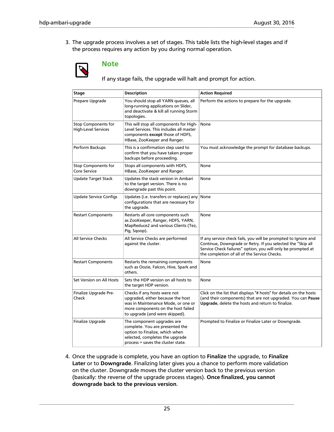3. The upgrade process involves a set of stages. This table lists the high-level stages and if the process requires any action by you during normal operation.



### **Note**

If any stage fails, the upgrade will halt and prompt for action.

| Stage                                                    | <b>Description</b>                                                                                                                                                              | <b>Action Required</b>                                                                                                                                                                                                                        |
|----------------------------------------------------------|---------------------------------------------------------------------------------------------------------------------------------------------------------------------------------|-----------------------------------------------------------------------------------------------------------------------------------------------------------------------------------------------------------------------------------------------|
| Prepare Upgrade                                          | You should stop all YARN queues, all<br>long-running applications on Slider,<br>and deactivate & kill all running Storm<br>topologies.                                          | Perform the actions to prepare for the upgrade.                                                                                                                                                                                               |
| <b>Stop Components for</b><br><b>High-Level Services</b> | This will stop all components for High-<br>Level Services. This includes all master<br>components except those of HDFS,<br>HBase, ZooKeeper and Ranger.                         | None                                                                                                                                                                                                                                          |
| Perform Backups                                          | This is a confirmation step used to<br>confirm that you have taken proper<br>backups before proceeding.                                                                         | You must acknowledge the prompt for database backups.                                                                                                                                                                                         |
| <b>Stop Components for</b><br>Core Service               | Stops all components with HDFS,<br>HBase, ZooKeeper and Ranger.                                                                                                                 | None                                                                                                                                                                                                                                          |
| <b>Update Target Stack</b>                               | Updates the stack version in Ambari<br>to the target version. There is no<br>downgrade past this point.                                                                         | None                                                                                                                                                                                                                                          |
| <b>Update Service Configs</b>                            | Updates (i.e. transfers or replaces) any<br>configurations that are necessary for<br>the upgrade.                                                                               | None                                                                                                                                                                                                                                          |
| <b>Restart Components</b>                                | Restarts all core components such<br>as ZooKeeper, Ranger, HDFS, YARN,<br>MapReduce2 and various Clients (Tez,<br>Pig, Sqoop).                                                  | None                                                                                                                                                                                                                                          |
| All Service Checks                                       | All Service Checks are performed<br>against the cluster.                                                                                                                        | If any service check fails, you will be prompted to Ignore and<br>Continue, Downgrade or Retry. If you selected the "Skip all<br>Service Check failures" option, you will only be prompted at<br>the completion of all of the Service Checks. |
| <b>Restart Components</b>                                | Restarts the remaining components<br>such as Oozie, Falcon, Hive, Spark and<br>others.                                                                                          | None                                                                                                                                                                                                                                          |
| Set Version on All Hosts                                 | Sets the HDP version on all hosts to<br>the target HDP version.                                                                                                                 | None                                                                                                                                                                                                                                          |
| Finalize Upgrade Pre-<br>Check                           | Checks if any hosts were not<br>upgraded, either because the host<br>was in Maintenance Mode, or one or<br>more components on the host failed<br>to upgrade (and were skipped). | Click on the list that displays "# hosts" for details on the hosts<br>(and their components) that are not upgraded. You can Pause<br>Upgrade, delete the hosts and return to finalize.                                                        |
| Finalize Upgrade                                         | The component upgrades are<br>complete. You are presented the<br>option to Finalize, which when<br>selected, completes the upgrade<br>process + saves the cluster state.        | Prompted to Finalize or Finalize Later or Downgrade.                                                                                                                                                                                          |

4. Once the upgrade is complete, you have an option to **Finalize** the upgrade, to **Finalize Later** or to **Downgrade**. Finalizing later gives you a chance to perform more validation on the cluster. Downgrade moves the cluster version back to the previous version (basically: the reverse of the upgrade process stages). **Once finalized, you cannot downgrade back to the previous version**.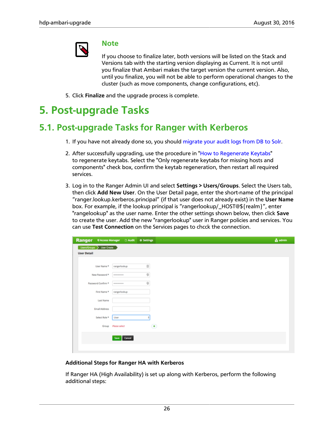

### **Note**

If you choose to finalize later, both versions will be listed on the Stack and Versions tab with the starting version displaying as Current. It is not until you finalize that Ambari makes the target version the current version. Also, until you finalize, you will not be able to perform operational changes to the cluster (such as move components, change configurations, etc).

5. Click **Finalize** and the upgrade process is complete.

# <span id="page-30-0"></span>**5. Post-upgrade Tasks**

# <span id="page-30-1"></span>**5.1. Post-upgrade Tasks for Ranger with Kerberos**

- 1. If you have not already done so, you should [migrate your audit logs from DB to Solr.](http://docs.hortonworks.com/HDPDocuments/HDP2/HDP-2.5.0/bk_security/content/migrating_audit_logs_from_db_to_solr_in_ambari_clusters.html)
- 2. After successfully upgrading, use the procedure in "[How to Regenerate Keytabs"](http://docs.hortonworks.com/HDPDocuments/Ambari-2.4.0.1/bk_ambari-user-guide/content/how_to_regenerate_keytabs.html) to regenerate keytabs. Select the "Only regenerate keytabs for missing hosts and components" check box, confirm the keytab regeneration, then restart all required services.
- 3. Log in to the Ranger Admin UI and select **Settings > Users/Groups**. Select the Users tab, then click **Add New User**. On the User Detail page, enter the short-name of the principal "ranger.lookup.kerberos.principal" (if that user does not already exist) in the **User Name** box. For example, if the lookup principal is "rangerlookup/\_HOST@\${realm}", enter "rangelookup" as the user name. Enter the other settings shown below, then click **Save** to create the user. Add the new "rangerlookup" user in Ranger policies and services. You can use **Test Connection** on the Services pages to chcck the connection.

| <b>Ranger</b>              | <b>UAccess Manager D</b> Audit<br><b>O</b> Settings                                    | <b>A</b> admin |
|----------------------------|----------------------------------------------------------------------------------------|----------------|
| Users/Groups > User Create |                                                                                        |                |
| <b>User Detail</b>         |                                                                                        |                |
| User Name *                | $\boxplus$<br>rangerlookup                                                             |                |
| New Password *             | $^\circledR$<br>                                                                       |                |
| Password Confirm *         | $\oplus$<br>                                                                           |                |
| First Name *               | rangerfooloup                                                                          |                |
| <b>Last Name</b>           |                                                                                        |                |
| <b>Email Address</b>       |                                                                                        |                |
| Select Role *              | User                                                                                   |                |
|                            | $\left( \begin{matrix} \bullet \\ \bullet \end{matrix} \right)$<br>Group Please select |                |
|                            | Save Cancel                                                                            |                |
|                            |                                                                                        |                |
|                            |                                                                                        |                |

#### **Additional Steps for Ranger HA with Kerberos**

If Ranger HA (High Availability) is set up along with Kerberos, perform the following additional steps: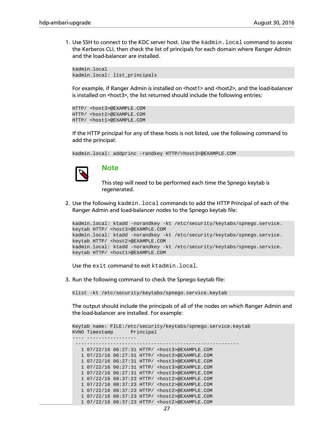1. Use SSH to connect to the KDC server host. Use the kadmin.local command to access the Kerberos CLI, then check the list of principals for each domain where Ranger Admin and the load-balancer are installed.

kadmin.local kadmin.local: list\_principals

For example, if Ranger Admin is installed on <host1> and <host2>, and the load-balancer is installed on <host3>, the list returned should include the following entries:

```
HTTP/ <host3>@EXAMPLE.COM
HTTP/ <host2>@EXAMPLE.COM
HTTP/ <host1>@EXAMPLE.COM
```
If the HTTP principal for any of these hosts is not listed, use the following command to add the principal:

kadmin.local: addprinc -randkey HTTP/<host3>@EXAMPLE.COM



### **Note**

This step will need to be performed each time the Spnego keytab is regenerated.

2. Use the following kadmin.local commands to add the HTTP Principal of each of the Ranger Admin and load-balancer nodes to the Spnego keytab file:

```
kadmin.local: ktadd -norandkey -kt /etc/security/keytabs/spnego.service.
keytab HTTP/ <host3>@EXAMPLE.COM
kadmin.local: ktadd -norandkey -kt /etc/security/keytabs/spnego.service.
keytab HTTP/ <host2>@EXAMPLE.COM
kadmin.local: ktadd -norandkey -kt /etc/security/keytabs/spnego.service.
keytab HTTP/ <host1>@EXAMPLE.COM
```
Use the exit command to exit ktadmin.local.

3. Run the following command to check the Spnego keytab file:

klist -kt /etc/security/keytabs/spnego.service.keytab

The output should include the principals of all of the nodes on which Ranger Admin and the load-balancer are installed. For example:

```
Keytab name: FILE:/etc/security/keytabs/spnego.service.keytab
KVNO Timestamp Principal
---- -----------------
 --------------------------------------------------------
   1 07/22/16 06:27:31 HTTP/ <host3>@EXAMPLE.COM
   1 07/22/16 06:27:31 HTTP/ <host3>@EXAMPLE.COM
   1 07/22/16 06:27:31 HTTP/ <host3>@EXAMPLE.COM
   1 07/22/16 06:27:31 HTTP/ <host3>@EXAMPLE.COM
   1 07/22/16 06:27:31 HTTP/ <host3>@EXAMPLE.COM
   1 07/22/16 08:37:23 HTTP/ <host2>@EXAMPLE.COM
   1 07/22/16 08:37:23 HTTP/ <host2>@EXAMPLE.COM
   1 07/22/16 08:37:23 HTTP/ <host2>@EXAMPLE.COM
   1 07/22/16 08:37:23 HTTP/ <host2>@EXAMPLE.COM
   1 07/22/16 08:37:23 HTTP/ <host2>@EXAMPLE.COM
```